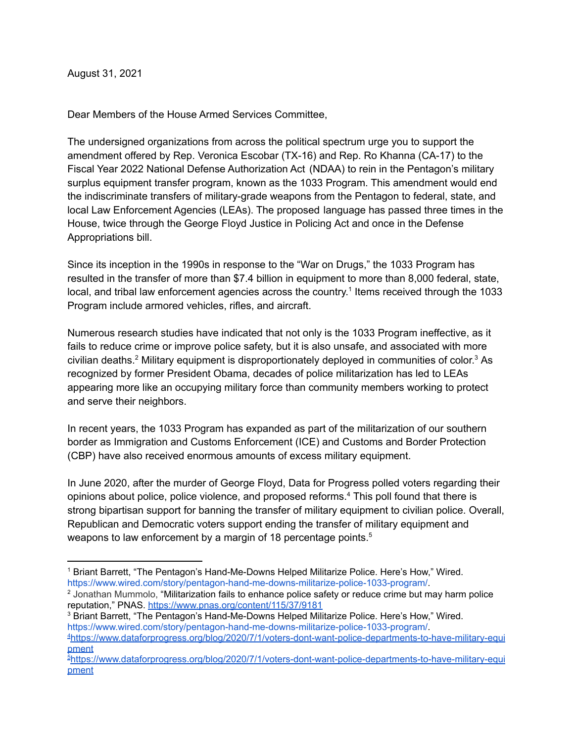August 31, 2021

Dear Members of the House Armed Services Committee,

The undersigned organizations from across the political spectrum urge you to support the amendment offered by Rep. Veronica Escobar (TX-16) and Rep. Ro Khanna (CA-17) to the Fiscal Year 2022 National Defense Authorization Act (NDAA) to rein in the Pentagon's military surplus equipment transfer program, known as the 1033 Program. This amendment would end the indiscriminate transfers of military-grade weapons from the Pentagon to federal, state, and local Law Enforcement Agencies (LEAs). The proposed language has passed three times in the House, twice through the George Floyd Justice in Policing Act and once in the Defense Appropriations bill.

Since its inception in the 1990s in response to the "War on Drugs," the 1033 Program has resulted in the transfer of more than \$7.4 billion in equipment to more than 8,000 federal, state, local, and tribal law enforcement agencies across the country.<sup>1</sup> Items received through the 1033 Program include armored vehicles, rifles, and aircraft.

Numerous research studies have indicated that not only is the 1033 Program ineffective, as it fails to reduce crime or improve police safety, but it is also unsafe, and associated with more civilian deaths.<sup>2</sup> Military equipment is disproportionately deployed in communities of color.<sup>3</sup> As recognized by former President Obama, decades of police militarization has led to LEAs appearing more like an occupying military force than community members working to protect and serve their neighbors.

In recent years, the 1033 Program has expanded as part of the militarization of our southern border as Immigration and Customs Enforcement (ICE) and Customs and Border Protection (CBP) have also received enormous amounts of excess military equipment.

In June 2020, after the murder of George Floyd, Data for Progress polled voters regarding their opinions about police, police violence, and proposed reforms. <sup>4</sup> This poll found that there is strong bipartisan support for banning the transfer of military equipment to civilian police. Overall, Republican and Democratic voters support ending the transfer of military equipment and weapons to law enforcement by a margin of 18 percentage points.<sup>5</sup>

<sup>1</sup> Briant Barrett, "The Pentagon's Hand-Me-Downs Helped Militarize Police. Here's How," Wired. https://www.wired.com/story/pentagon-hand-me-downs-militarize-police-1033-program/.

<sup>&</sup>lt;sup>2</sup> Jonathan Mummolo, "Militarization fails to enhance police safety or reduce crime but may harm police reputation," PNAS. <https://www.pnas.org/content/115/37/9181>

<sup>3</sup> Briant Barrett, "The Pentagon's Hand-Me-Downs Helped Militarize Police. Here's How," Wired. https://www.wired.com/story/pentagon-hand-me-downs-militarize-police-1033-program/.

<sup>4</sup>[https://www.dataforprogress.org/blog/2020/7/1/voters-dont-want-police-departments-to-have-military-equi](https://www.dataforprogress.org/blog/2020/7/1/voters-dont-want-police-departments-to-have-military-equipment) [pment](https://www.dataforprogress.org/blog/2020/7/1/voters-dont-want-police-departments-to-have-military-equipment)

<sup>5</sup>[https://www.dataforprogress.org/blog/2020/7/1/voters-dont-want-police-departments-to-have-military-equi](https://www.dataforprogress.org/blog/2020/7/1/voters-dont-want-police-departments-to-have-military-equipment) [pment](https://www.dataforprogress.org/blog/2020/7/1/voters-dont-want-police-departments-to-have-military-equipment)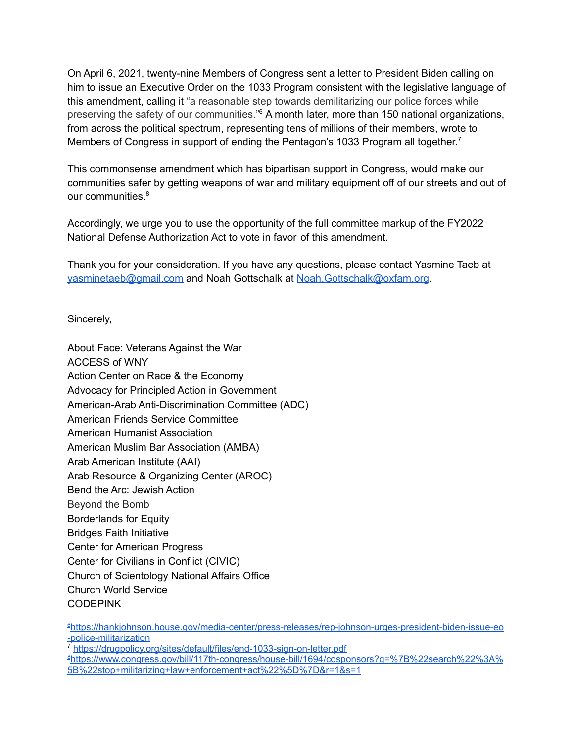On April 6, 2021, twenty-nine Members of Congress sent a letter to President Biden calling on him to issue an Executive Order on the 1033 Program consistent with the legislative language of this amendment, calling it "a reasonable step towards demilitarizing our police forces while preserving the safety of our communities."<sup>6</sup> A month later, more than 150 national organizations, from across the political spectrum, representing tens of millions of their members, wrote to Members of Congress in support of ending the Pentagon's 1033 Program all together.<sup>7</sup>

This commonsense amendment which has bipartisan support in Congress, would make our communities safer by getting weapons of war and military equipment off of our streets and out of our communities.<sup>8</sup>

Accordingly, we urge you to use the opportunity of the full committee markup of the FY2022 National Defense Authorization Act to vote in favor of this amendment.

Thank you for your consideration. If you have any questions, please contact Yasmine Taeb at [yasminetaeb@gmail.com](mailto:yasminetaeb@gmail.com) and Noah Gottschalk at [Noah.Gottschalk@oxfam.org.](mailto:Noah.Gottschalk@oxfam.org)

Sincerely,

About Face: Veterans Against the War ACCESS of WNY Action Center on Race & the Economy Advocacy for Principled Action in Government American-Arab Anti-Discrimination Committee (ADC) American Friends Service Committee American Humanist Association American Muslim Bar Association (AMBA) Arab American Institute (AAI) Arab Resource & Organizing Center (AROC) Bend the Arc: Jewish Action Beyond the Bomb Borderlands for Equity Bridges Faith Initiative Center for American Progress Center for Civilians in Conflict (CIVIC) Church of Scientology National Affairs Office Church World Service CODEPINK

<sup>7</sup> <https://drugpolicy.org/sites/default/files/end-1033-sign-on-letter.pdf>

<sup>6</sup>[https://hankjohnson.house.gov/media-center/press-releases/rep-johnson-urges-president-biden-issue-eo](https://hankjohnson.house.gov/media-center/press-releases/rep-johnson-urges-president-biden-issue-eo-police-militarization) [-police-militarization](https://hankjohnson.house.gov/media-center/press-releases/rep-johnson-urges-president-biden-issue-eo-police-militarization)

<sup>8</sup>[https://www.congress.gov/bill/117th-congress/house-bill/1694/cosponsors?q=%7B%22search%22%3A%](https://www.congress.gov/bill/117th-congress/house-bill/1694/cosponsors?q=%7B%22search%22%3A%5B%22stop+militarizing+law+enforcement+act%22%5D%7D&r=1&s=1) [5B%22stop+militarizing+law+enforcement+act%22%5D%7D&r=1&s=1](https://www.congress.gov/bill/117th-congress/house-bill/1694/cosponsors?q=%7B%22search%22%3A%5B%22stop+militarizing+law+enforcement+act%22%5D%7D&r=1&s=1)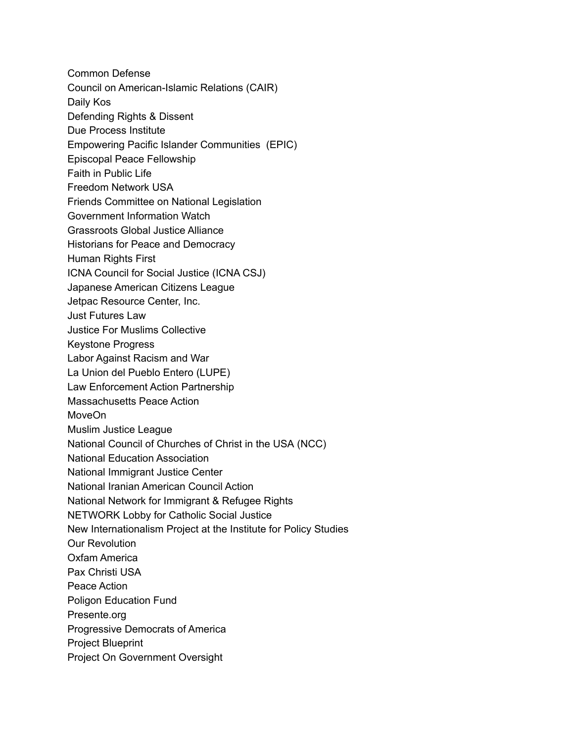Common Defense Council on American-Islamic Relations (CAIR) Daily Kos Defending Rights & Dissent Due Process Institute Empowering Pacific Islander Communities (EPIC) Episcopal Peace Fellowship Faith in Public Life Freedom Network USA Friends Committee on National Legislation Government Information Watch Grassroots Global Justice Alliance Historians for Peace and Democracy Human Rights First ICNA Council for Social Justice (ICNA CSJ) Japanese American Citizens League Jetpac Resource Center, Inc. Just Futures Law Justice For Muslims Collective Keystone Progress Labor Against Racism and War La Union del Pueblo Entero (LUPE) Law Enforcement Action Partnership Massachusetts Peace Action MoveOn Muslim Justice League National Council of Churches of Christ in the USA (NCC) National Education Association National Immigrant Justice Center National Iranian American Council Action National Network for Immigrant & Refugee Rights NETWORK Lobby for Catholic Social Justice New Internationalism Project at the Institute for Policy Studies Our Revolution Oxfam America Pax Christi USA Peace Action Poligon Education Fund Presente.org Progressive Democrats of America Project Blueprint Project On Government Oversight